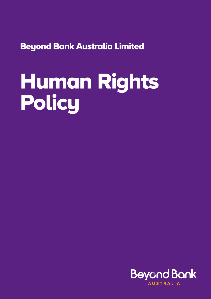Beyond Bank Australia Limited

# Human Rights **Policy**

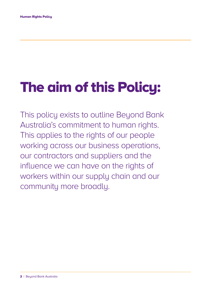## The aim of this Policy:

This policy exists to outline Beyond Bank Australia's commitment to human rights. This applies to the rights of our people working across our business operations, our contractors and suppliers and the influence we can have on the rights of workers within our supply chain and our community more broadly.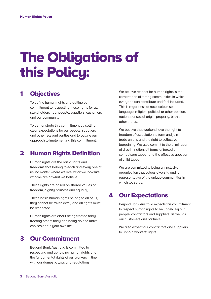## The Obligations of this Policy:

## 1 Objectives

To define human rights and outline our commitment to respecting those rights for all stakeholders - our people, suppliers, customers and our community.

To demonstrate this commitment by setting clear expectations for our people, suppliers and other relevant parties and to outline our approach to implementing this commitment.

## 2 Human Rights Definition

Human rights are the basic rights and freedoms that belong to each and every one of us, no matter where we live, what we look like, who we are or what we believe.

These rights are based on shared values of freedom, dignity, fairness and equality.

These basic human rights belong to all of us, they cannot be taken away and all rights must be respected.

Human rights are about being treated fairly, treating others fairly and being able to make choices about your own life.

## 3 Our Commitment

Beuond Bank Australia is committed to respecting and upholding human rights and the fundamental rights of our workers in line with our domestic laws and regulations.

We believe respect for human rights is the cornerstone of strong communities in which everyone can contribute and feel included. This is regardless of race, colour, sex, language, religion, political or other opinion, national or social origin, property, birth or other status.

We believe that workers have the right to freedom of association to form and join trade unions and the right to collective bargaining. We also commit to the elimination of discrimination, all forms of forced or compulsory labour and the effective abolition of child labour.

We are committed to being an inclusive organisation that values diversity and is representative of the unique communities in which we serve.

## 4 Our Expectations

Beyond Bank Australia expects this commitment to respect human rights to be upheld by our people, contractors and suppliers, as well as our customers and partners.

We also expect our contractors and suppliers to uphold workers' rights.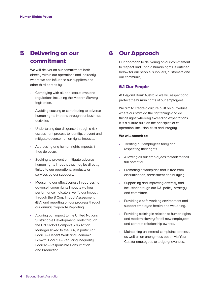## 5 Delivering on our commitment

We will deliver on our commitment both directly within our operations and indirectly where we can influence our suppliers and other third parties by:

- Complying with all applicable laws and regulations including the Modern Slavery legislation.
- Avoiding causing or contributing to adverse human rights impacts through our business activities.
- Undertaking due diligence through a risk assessment process to identify, prevent and mitigate adverse human rights impacts.
- Addressing any human rights impacts if they do occur.
- Seeking to prevent or mitigate adverse human rights impacts that may be directly linked to our operations, products or services by our suppliers.
- Measuring our effectiveness in addressing adverse human rights impacts via key performance indicators, verify our impact through the B Corp Impact Assessment (BIA) and reporting on our progress through our annual Corporate Reporting.
- Aligning our impact to the United Nations Sustainable Development Goals through the UN Global Compact SDG Action Manager linked to the BIA, in particular; Goal 8 – Decent Work and Economic Growth, Goal 10 – Reducing Inequality, Goal 12 – Responsible Consumption and Production.

## 6 Our Approach

Our approach to delivering on our commitment to respect and uphold human rights is outlined below for our people, suppliers, customers and our community.

#### 6.1 Our People

 At Beyond Bank Australia we will respect and protect the human rights of our employees.

 We aim to create a culture built on our values where our staff 'do the right things and do things right' whereby exceeding expectations. It is a culture built on the principles of cooperation, inclusion, trust and integrity.

#### We will commit to:

- Treating our employees fairly and respecting their rights.
- Allowing all our employees to work to their full potential.
- Promoting a workplace that is free from discrimination, harassment and bullying.
- Supporting and improving diversity and inclusion through our D&I policy, strategy and committee.
- Providing a safe working environment and support employee health and wellbeing.
- Providing training in relation to human rights and modern slavery for all new employees and contract relationship owners.
- Maintaining an internal complaints process, as well as an anonymous option via Your Call for employees to lodge grievances.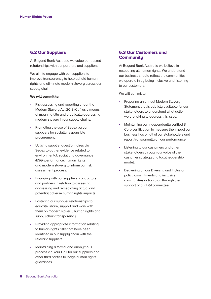#### 6.2 Our Suppliers

At Beyond Bank Australia we value our trusted relationships with our partners and suppliers.

We aim to engage with our suppliers to improve transparency to help uphold human rights and eliminate modern slavery across our supply chain.

#### We will commit to:

- Risk assessing and reporting under the Modern Slavery Act 2018 (Cth) as a means of meaningfully and practically addressing modern slavery in our supply chains.
- Promoting the use of Sedex by our suppliers for socially responsible procurement.
- Utilising supplier questionnaires via Sedex to gather evidence related to environmental, social and governance (ESG) performance, human rights and modern slavery to inform our risk assessment process.
- Engaging with our suppliers, contractors and partners in relation to assessing, addressing and remediating actual and potential adverse human rights impacts.
- Fostering our supplier relationships to educate, share, support and work with them on modern slavery, human rights and supply chain transparency.
- Providing appropriate information relating to human rights risks that have been identified in our supply chain with the relevant suppliers.
- Maintaining a formal and anonumous process via Your Call for our suppliers and other third parties to lodge human rights grievances.

#### 6.3 Our Customers and **Communitu**

At Beyond Bank Australia we believe in respecting all human rights. We understand our business should reflect the communities we operate in bu being inclusive and listening to our customers.

We will commit to:

- Preparing an annual Modern Slavery Statement that is publicly available for our stakeholders to understand what action we are taking to address this issue.
- Maintaining our independently verified B Corp certification to measure the impact our business has on all of our stakeholders and report transparently on our performance.
- Listening to our customers and other stakeholders through our voice of the customer strategy and local leadership model.
- Delivering on our Diversity and Inclusion policy commitments and inclusive communities action plan through the support of our D&I committee.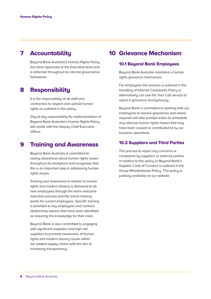## 7 Accountability

Beyond Bank Australia's Human Rights Policy has been approved at the Executive level and is reflected throughout its internal governance framework.

### 8 Responsibility

It is the responsibility of all staff and contractors to respect and uphold human rights as outlined in this policy.

Day to day responsibility for implementation of Beyond Bank Australia's Human Rights Policy will reside with the Deputu Chief Executive Officer.

### 9 Training and Awareness

Beyond Bank Australia is committed to raising awareness about human rights issues throughout its workplace and recognises that this is an important step in addressing human rights issues.

Training and awareness in relation to human rights and modern slavery is delivered to all new employees through the warm welcome induction process and the online training portal for current employees. Specific training is provided to key employees and contract relationship owners that have been identified as requiring this knowledge for their roles.

Beyond Bank is also committed to engaging with significant suppliers and high-risk suppliers to promote awareness of human rights and modern slavery issues within our related supply chains with the aim of increasing transparency.

## 10 Grievance Mechanism

#### 10.1 Beyond Bank Employees

Beyond Bank Australia maintains a human rights grievance mechanism.

For employees this process is outlined in the Handling of Internal Complaints Policy or alternatively can use the Your Call service to report a grievance anonymously.

Beyond Bank is committed to working with our employees to resolve grievances and where required will take prompt action to remediate any adverse human rights impact that may have been caused or contributed to by our business operations.

#### 10.2 Suppliers and Third Parties

The process to report any concerns or complaints by suppliers or external parties in relation to this policy or Beyond Bank's Supplier Code of Conduct is outlined in the Group Whistleblower Policy. This policy is publicly available on our website.